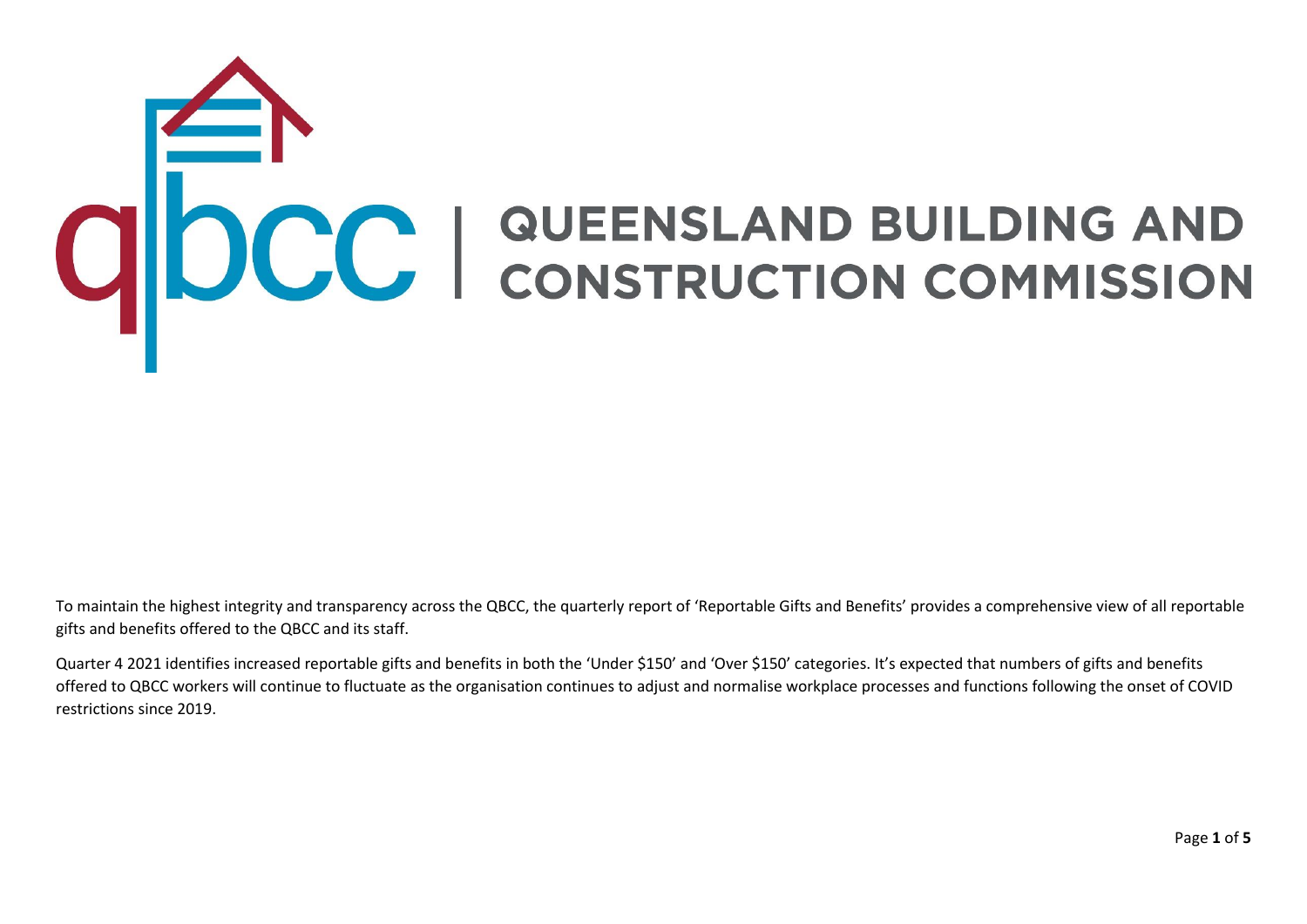## ODCC | QUEENSLAND BUILDING AND

To maintain the highest integrity and transparency across the QBCC, the quarterly report of 'Reportable Gifts and Benefits' provides a comprehensive view of all reportable gifts and benefits offered to the QBCC and its staff.

Quarter 4 2021 identifies increased reportable gifts and benefits in both the 'Under \$150' and 'Over \$150' categories. It's expected that numbers of gifts and benefits offered to QBCC workers will continue to fluctuate as the organisation continues to adjust and normalise workplace processes and functions following the onset of COVID restrictions since 2019.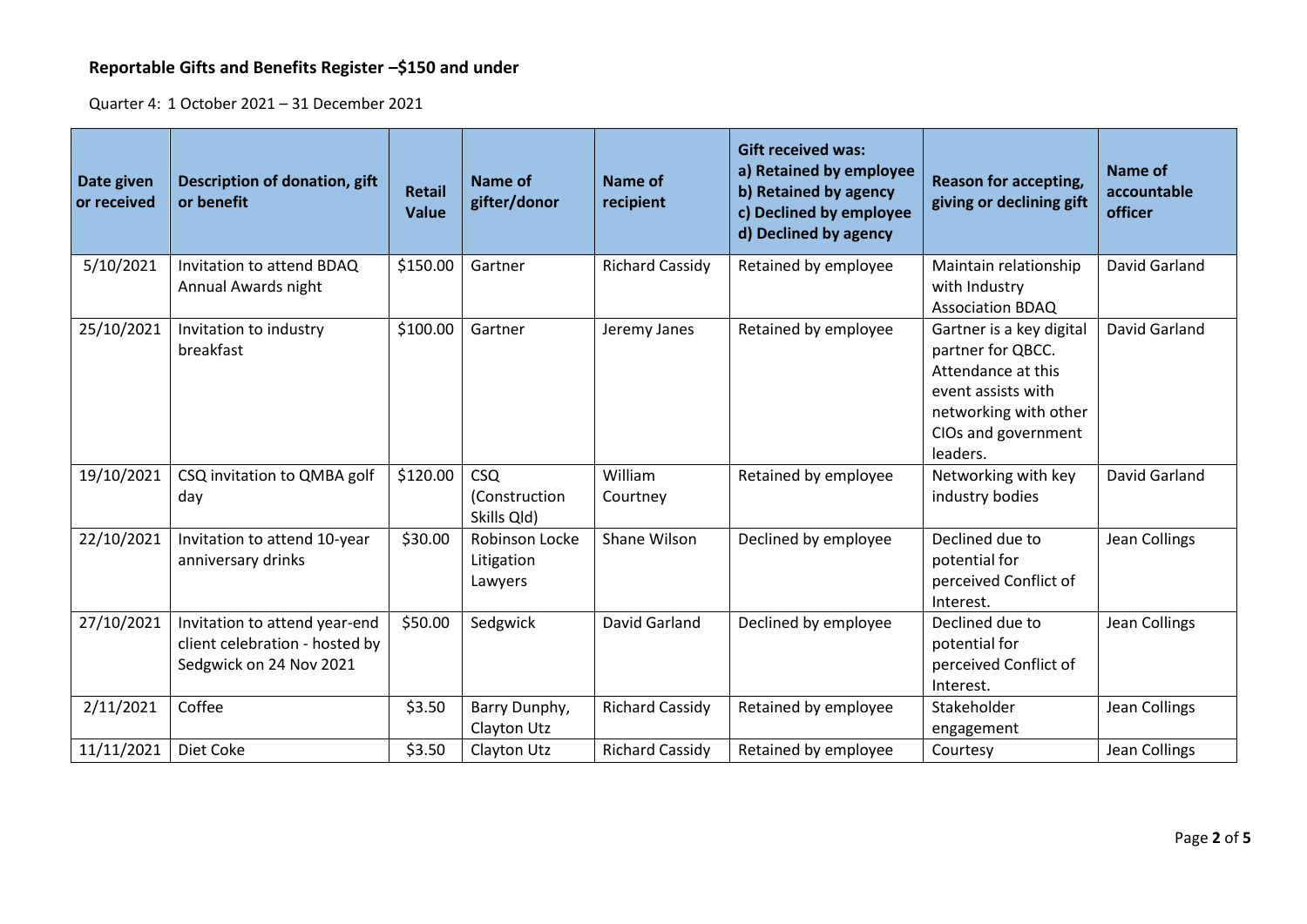## **Reportable Gifts and Benefits Register –\$150 and under**

Quarter 4: 1 October 2021 – 31 December 2021

| Date given<br>or received | <b>Description of donation, gift</b><br>or benefit                                         | <b>Retail</b><br><b>Value</b> | Name of<br>gifter/donor                    | <b>Name of</b><br>recipient | <b>Gift received was:</b><br>a) Retained by employee<br>b) Retained by agency<br>c) Declined by employee<br>d) Declined by agency | <b>Reason for accepting,</b><br>giving or declining gift                                                                                              | Name of<br>accountable<br>officer |
|---------------------------|--------------------------------------------------------------------------------------------|-------------------------------|--------------------------------------------|-----------------------------|-----------------------------------------------------------------------------------------------------------------------------------|-------------------------------------------------------------------------------------------------------------------------------------------------------|-----------------------------------|
| 5/10/2021                 | Invitation to attend BDAQ<br>Annual Awards night                                           | \$150.00                      | Gartner                                    | <b>Richard Cassidy</b>      | Retained by employee                                                                                                              | Maintain relationship<br>with Industry<br><b>Association BDAQ</b>                                                                                     | David Garland                     |
| 25/10/2021                | Invitation to industry<br>breakfast                                                        | \$100.00                      | Gartner                                    | Jeremy Janes                | Retained by employee                                                                                                              | Gartner is a key digital<br>partner for QBCC.<br>Attendance at this<br>event assists with<br>networking with other<br>CIOs and government<br>leaders. | David Garland                     |
| 19/10/2021                | CSQ invitation to QMBA golf<br>day                                                         | \$120.00                      | <b>CSQ</b><br>(Construction<br>Skills Qld) | William<br>Courtney         | Retained by employee                                                                                                              | Networking with key<br>industry bodies                                                                                                                | David Garland                     |
| 22/10/2021                | Invitation to attend 10-year<br>anniversary drinks                                         | \$30.00                       | Robinson Locke<br>Litigation<br>Lawyers    | Shane Wilson                | Declined by employee                                                                                                              | Declined due to<br>potential for<br>perceived Conflict of<br>Interest.                                                                                | Jean Collings                     |
| 27/10/2021                | Invitation to attend year-end<br>client celebration - hosted by<br>Sedgwick on 24 Nov 2021 | \$50.00                       | Sedgwick                                   | David Garland               | Declined by employee                                                                                                              | Declined due to<br>potential for<br>perceived Conflict of<br>Interest.                                                                                | Jean Collings                     |
| 2/11/2021                 | Coffee                                                                                     | \$3.50                        | Barry Dunphy,<br>Clayton Utz               | <b>Richard Cassidy</b>      | Retained by employee                                                                                                              | Stakeholder<br>engagement                                                                                                                             | Jean Collings                     |
| 11/11/2021                | Diet Coke                                                                                  | \$3.50                        | Clayton Utz                                | <b>Richard Cassidy</b>      | Retained by employee                                                                                                              | Courtesy                                                                                                                                              | Jean Collings                     |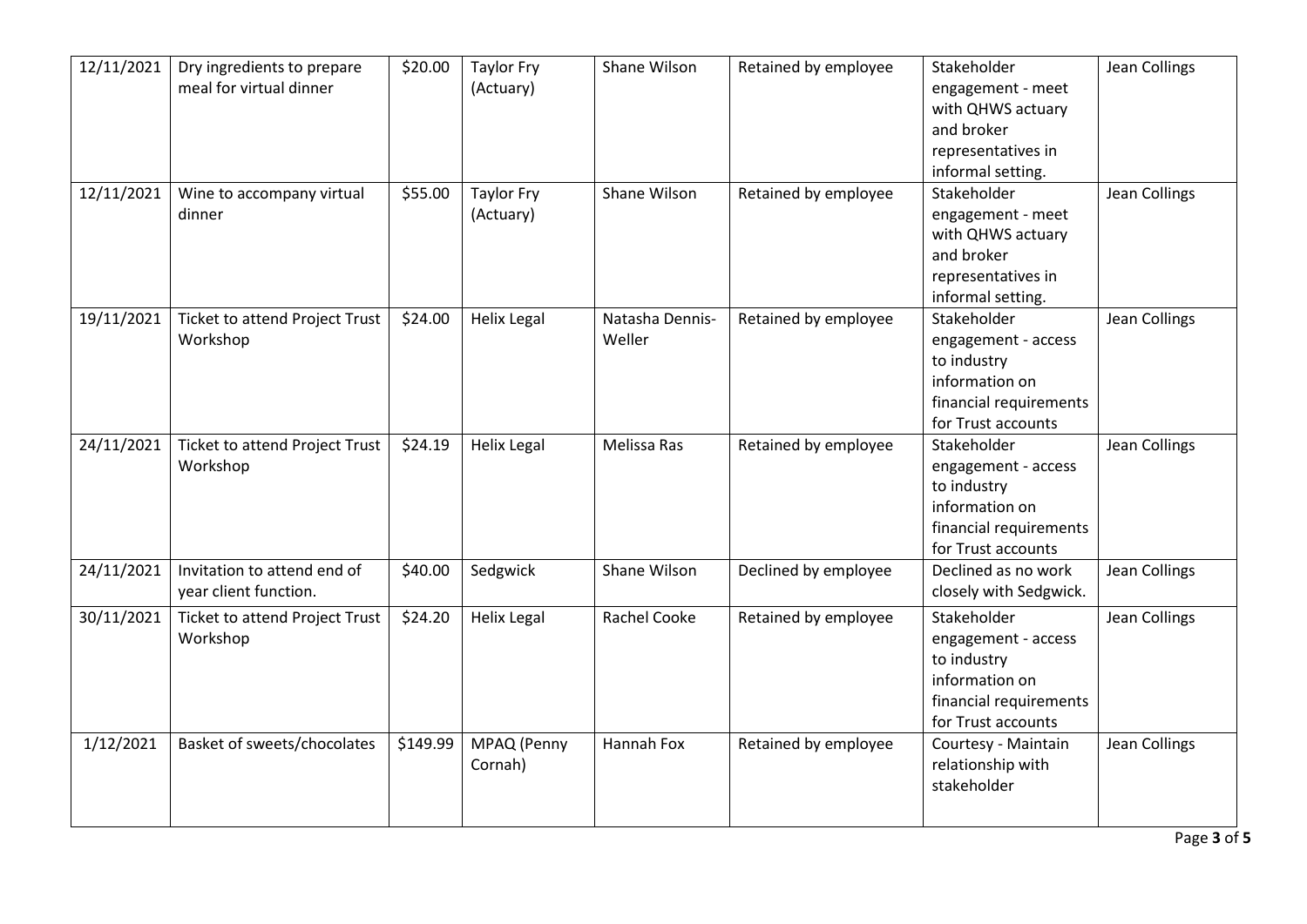| 12/11/2021 | Dry ingredients to prepare            | \$20.00  | <b>Taylor Fry</b>  | Shane Wilson        | Retained by employee | Stakeholder            | <b>Jean Collings</b> |
|------------|---------------------------------------|----------|--------------------|---------------------|----------------------|------------------------|----------------------|
|            | meal for virtual dinner               |          | (Actuary)          |                     |                      | engagement - meet      |                      |
|            |                                       |          |                    |                     |                      | with QHWS actuary      |                      |
|            |                                       |          |                    |                     |                      | and broker             |                      |
|            |                                       |          |                    |                     |                      | representatives in     |                      |
|            |                                       |          |                    |                     |                      | informal setting.      |                      |
| 12/11/2021 | Wine to accompany virtual             | \$55.00  | <b>Taylor Fry</b>  | Shane Wilson        | Retained by employee | Stakeholder            | <b>Jean Collings</b> |
|            | dinner                                |          | (Actuary)          |                     |                      | engagement - meet      |                      |
|            |                                       |          |                    |                     |                      | with QHWS actuary      |                      |
|            |                                       |          |                    |                     |                      | and broker             |                      |
|            |                                       |          |                    |                     |                      | representatives in     |                      |
|            |                                       |          |                    |                     |                      | informal setting.      |                      |
| 19/11/2021 | <b>Ticket to attend Project Trust</b> | \$24.00  | <b>Helix Legal</b> | Natasha Dennis-     | Retained by employee | Stakeholder            | <b>Jean Collings</b> |
|            | Workshop                              |          |                    | Weller              |                      | engagement - access    |                      |
|            |                                       |          |                    |                     |                      | to industry            |                      |
|            |                                       |          |                    |                     |                      | information on         |                      |
|            |                                       |          |                    |                     |                      | financial requirements |                      |
|            |                                       |          |                    |                     |                      | for Trust accounts     |                      |
| 24/11/2021 | <b>Ticket to attend Project Trust</b> | \$24.19  | <b>Helix Legal</b> | Melissa Ras         | Retained by employee | Stakeholder            | Jean Collings        |
|            | Workshop                              |          |                    |                     |                      | engagement - access    |                      |
|            |                                       |          |                    |                     |                      | to industry            |                      |
|            |                                       |          |                    |                     |                      | information on         |                      |
|            |                                       |          |                    |                     |                      | financial requirements |                      |
|            |                                       |          |                    |                     |                      | for Trust accounts     |                      |
| 24/11/2021 | Invitation to attend end of           | \$40.00  | Sedgwick           | Shane Wilson        | Declined by employee | Declined as no work    | Jean Collings        |
|            | year client function.                 |          |                    |                     |                      | closely with Sedgwick. |                      |
| 30/11/2021 | <b>Ticket to attend Project Trust</b> | \$24.20  | <b>Helix Legal</b> | <b>Rachel Cooke</b> | Retained by employee | Stakeholder            | <b>Jean Collings</b> |
|            | Workshop                              |          |                    |                     |                      | engagement - access    |                      |
|            |                                       |          |                    |                     |                      | to industry            |                      |
|            |                                       |          |                    |                     |                      | information on         |                      |
|            |                                       |          |                    |                     |                      |                        |                      |
|            |                                       |          |                    |                     |                      | financial requirements |                      |
|            |                                       |          |                    |                     |                      | for Trust accounts     |                      |
| 1/12/2021  | Basket of sweets/chocolates           | \$149.99 | MPAQ (Penny        | Hannah Fox          | Retained by employee | Courtesy - Maintain    | Jean Collings        |
|            |                                       |          | Cornah)            |                     |                      | relationship with      |                      |
|            |                                       |          |                    |                     |                      | stakeholder            |                      |
|            |                                       |          |                    |                     |                      |                        |                      |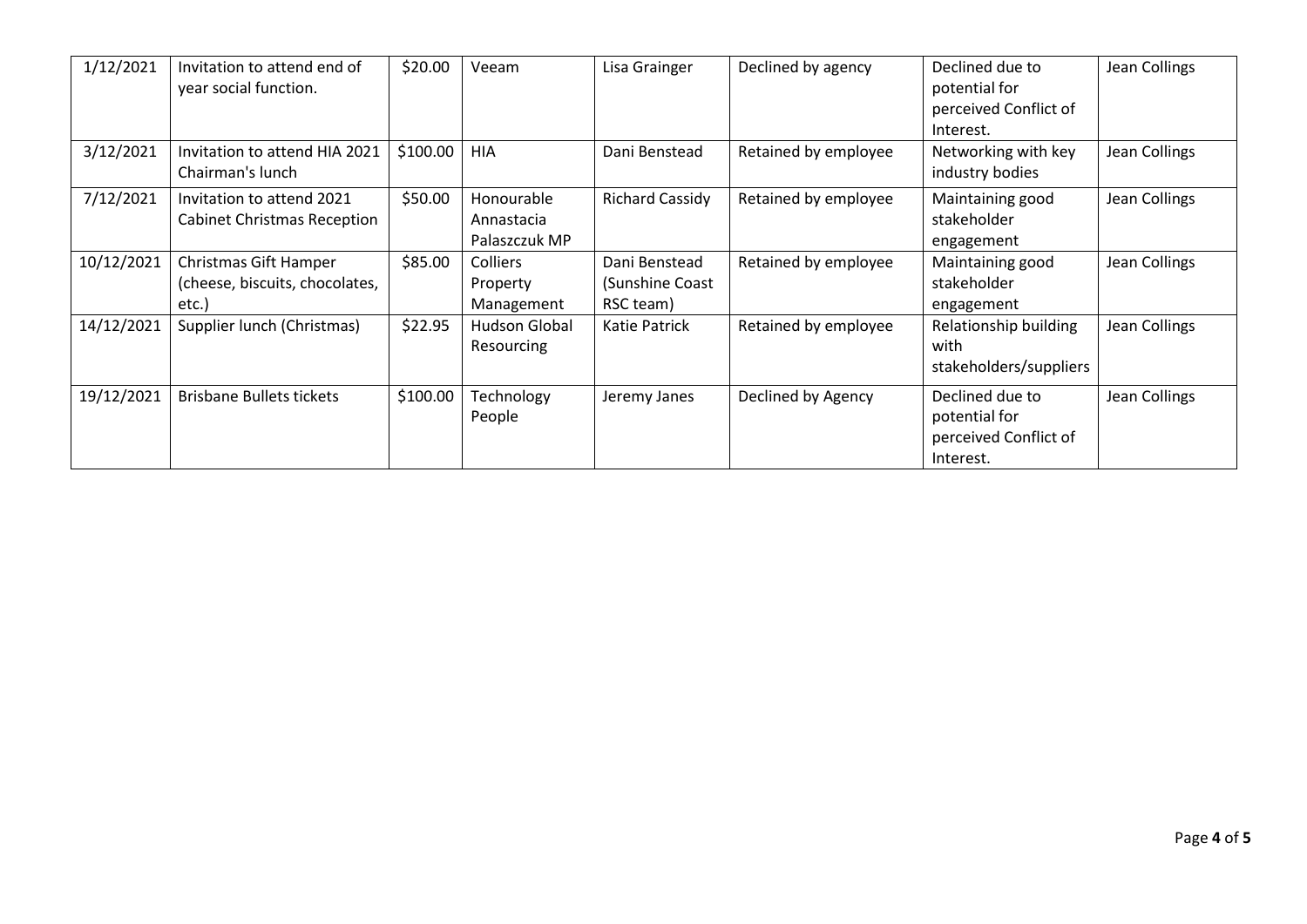| 1/12/2021  | Invitation to attend end of<br>year social function.             | \$20.00  | Veeam                                     | Lisa Grainger                                 | Declined by agency   | Declined due to<br>potential for<br>perceived Conflict of<br>Interest. | Jean Collings |
|------------|------------------------------------------------------------------|----------|-------------------------------------------|-----------------------------------------------|----------------------|------------------------------------------------------------------------|---------------|
| 3/12/2021  | Invitation to attend HIA 2021<br>Chairman's lunch                | \$100.00 | <b>HIA</b>                                | Dani Benstead                                 | Retained by employee | Networking with key<br>industry bodies                                 | Jean Collings |
| 7/12/2021  | Invitation to attend 2021<br><b>Cabinet Christmas Reception</b>  | \$50.00  | Honourable<br>Annastacia<br>Palaszczuk MP | <b>Richard Cassidy</b>                        | Retained by employee | Maintaining good<br>stakeholder<br>engagement                          | Jean Collings |
| 10/12/2021 | Christmas Gift Hamper<br>(cheese, biscuits, chocolates,<br>etc.) | \$85.00  | <b>Colliers</b><br>Property<br>Management | Dani Benstead<br>(Sunshine Coast<br>RSC team) | Retained by employee | Maintaining good<br>stakeholder<br>engagement                          | Jean Collings |
| 14/12/2021 | Supplier lunch (Christmas)                                       | \$22.95  | Hudson Global<br>Resourcing               | Katie Patrick                                 | Retained by employee | Relationship building<br>with<br>stakeholders/suppliers                | Jean Collings |
| 19/12/2021 | <b>Brisbane Bullets tickets</b>                                  | \$100.00 | Technology<br>People                      | Jeremy Janes                                  | Declined by Agency   | Declined due to<br>potential for<br>perceived Conflict of<br>Interest. | Jean Collings |